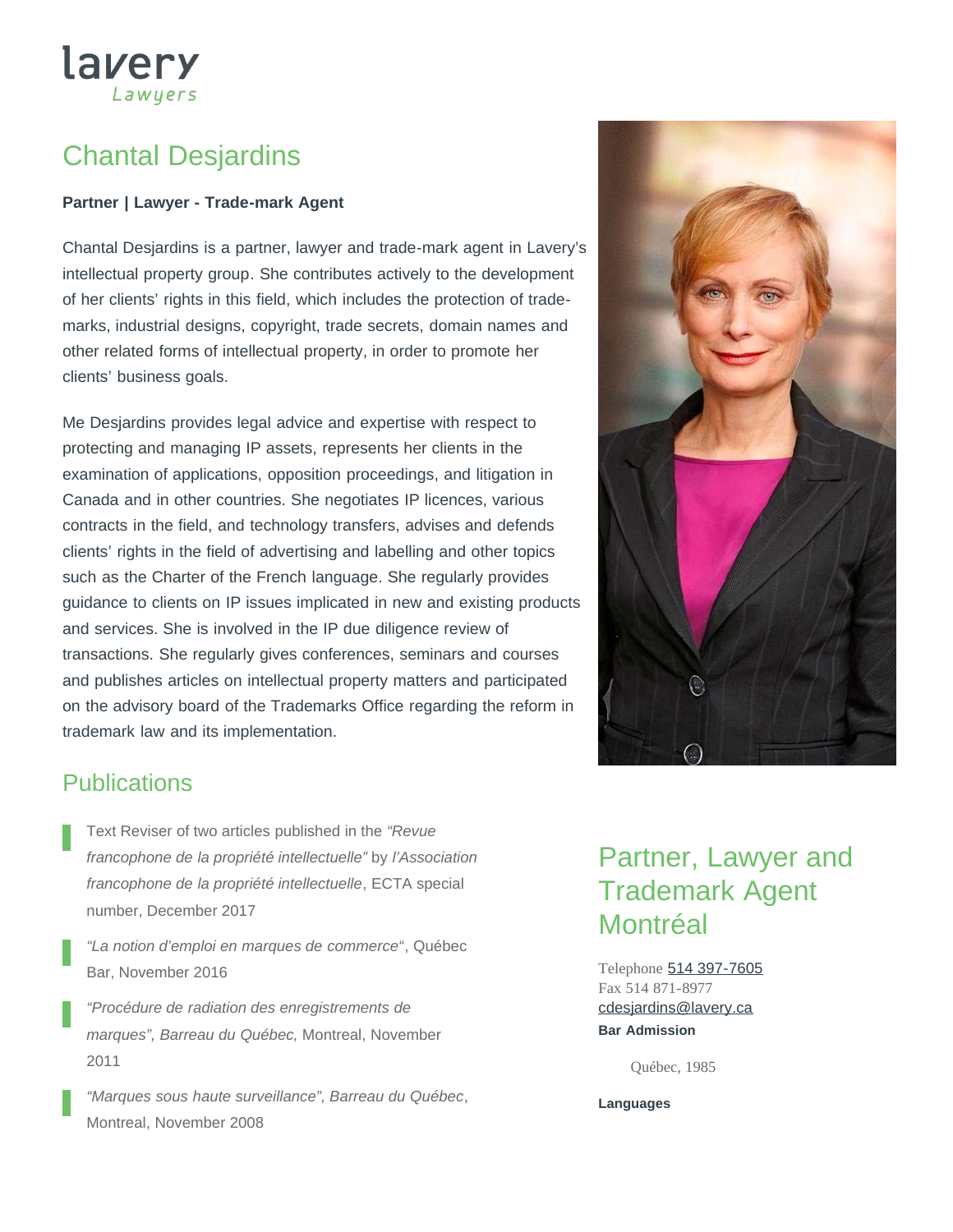# Chantal Desjardins

lavery

Lawyers

#### **Partner | Lawyer - Trade-mark Agent**

Chantal Desjardins is a partner, lawyer and trade-mark agent in Lavery's intellectual property group. She contributes actively to the development of her clients' rights in this field, which includes the protection of trademarks, industrial designs, copyright, trade secrets, domain names and other related forms of intellectual property, in order to promote her clients' business goals.

Me Desjardins provides legal advice and expertise with respect to protecting and managing IP assets, represents her clients in the examination of applications, opposition proceedings, and litigation in Canada and in other countries. She negotiates IP licences, various contracts in the field, and technology transfers, advises and defends clients' rights in the field of advertising and labelling and other topics such as the Charter of the French language. She regularly provides guidance to clients on IP issues implicated in new and existing products and services. She is involved in the IP due diligence review of transactions. She regularly gives conferences, seminars and courses and publishes articles on intellectual property matters and participated on the advisory board of the Trademarks Office regarding the reform in trademark law and its implementation.



## **Publications**

- Text Reviser of two articles published in the *"Revue francophone de la propriété intellectuelle"* by *l'Association francophone de la propriété intellectuelle*, ECTA special number, December 2017
- *"La notion d'emploi en marques de commerce"*, Québec Bar, November 2016
- *"Procédure de radiation des enregistrements de marques", Barreau du Québec,* Montreal, November 2011
- *"Marques sous haute surveillance", Barreau du Québec*, Montreal, November 2008

## Partner, Lawyer and Trademark Agent Montréal

Telephone [514 397-7605](tel:514-397-7605) Fax 514 871-8977 **Bar Admission** [cdesjardins@lavery.ca](mailto:cdesjardins@lavery.ca)

Québec, 1985

**Languages**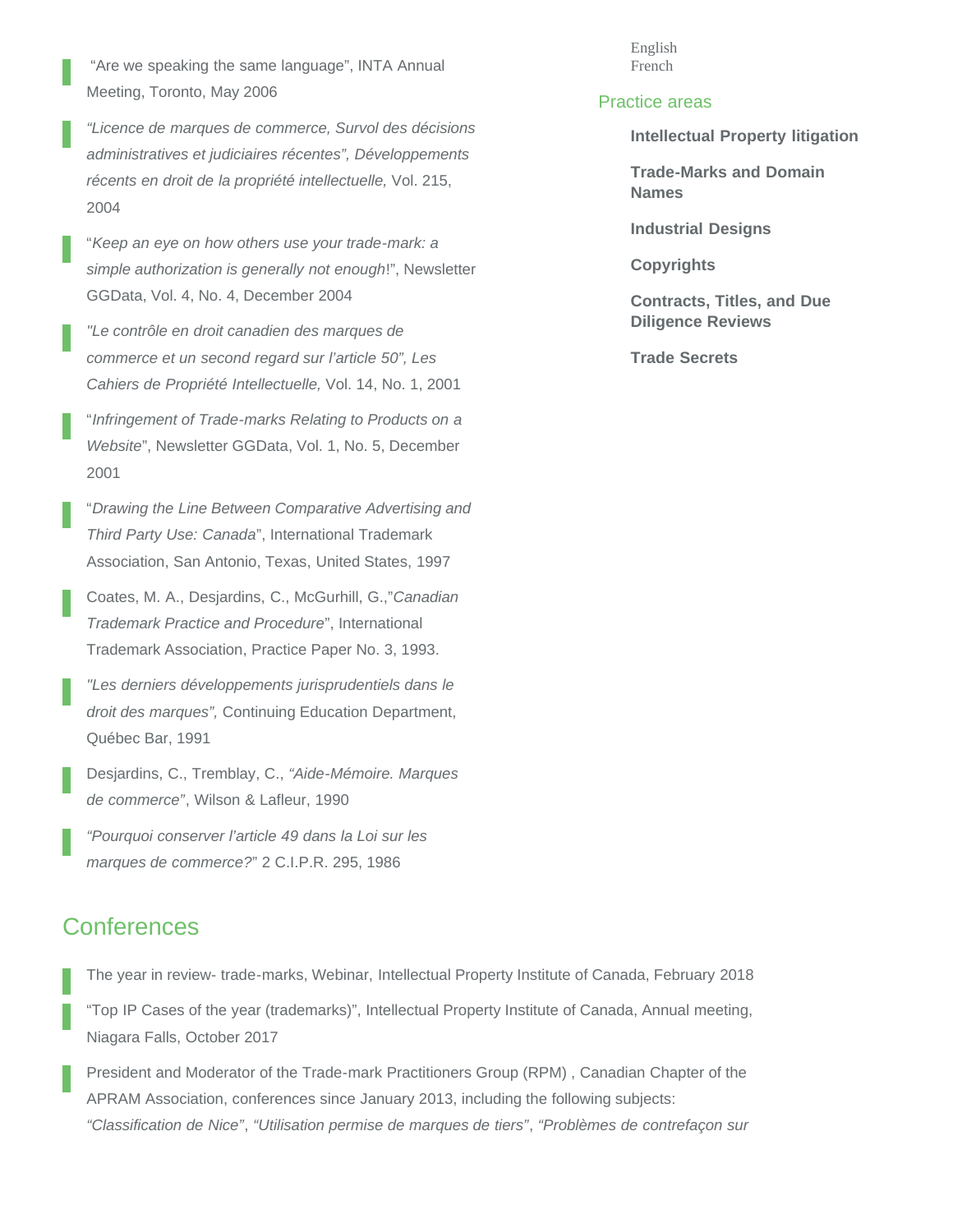"Are we speaking the same language", INTA Annual Meeting, Toronto, May 2006

*"Licence de marques de commerce, Survol des décisions administratives et judiciaires récentes", Développements récents en droit de la propriété intellectuelle,* Vol. 215, 2004

"*Keep an eye on how others use your trade-mark: a simple authorization is generally not enough*!", Newsletter GGData, Vol. 4, No. 4, December 2004

*"Le contrôle en droit canadien des marques de commerce et un second regard sur l'article 50", Les Cahiers de Propriété Intellectuelle,* Vol. 14, No. 1, 2001

"*Infringement of Trade-marks Relating to Products on a Website*", Newsletter GGData, Vol. 1, No. 5, December 2001

"*Drawing the Line Between Comparative Advertising and Third Party Use: Canada*", International Trademark Association, San Antonio, Texas, United States, 1997

Coates, M. A., Desjardins, C., McGurhill, G.,"*Canadian Trademark Practice and Procedure*", International Trademark Association, Practice Paper No. 3, 1993.

*"Les derniers développements jurisprudentiels dans le droit des marques",* Continuing Education Department, Québec Bar, 1991

Desjardins, C., Tremblay, C., *"Aide-Mémoire. Marques de commerce"*, Wilson & Lafleur, 1990

*"Pourquoi conserver l'article 49 dans la Loi sur les marques de commerce?*" 2 C.I.P.R. 295, 1986

### **Conferences**

The year in review- trade-marks, Webinar, Intellectual Property Institute of Canada, February 2018

"Top IP Cases of the year (trademarks)", Intellectual Property Institute of Canada, Annual meeting, Niagara Falls, October 2017

President and Moderator of the Trade-mark Practitioners Group (RPM) , Canadian Chapter of the APRAM Association, conferences since January 2013, including the following subjects: *"Classification de Nice"*, *"Utilisation permise de marques de tiers"*, *"Problèmes de contrefaçon sur*

English French

#### Practice areas

**[Intellectual Property litigation](https://www.lavery.ca/en/legal-services-expertise/390-intellectual-property-litigation.html)**

**[Trade-Marks and Domain](https://www.lavery.ca/en/legal-services-expertise/387-trade-marks-and-domain-names.html) [Names](https://www.lavery.ca/en/legal-services-expertise/387-trade-marks-and-domain-names.html)**

**[Industrial Designs](https://www.lavery.ca/en/legal-services-expertise/385-industrial-designs.html)**

**[Copyrights](https://www.lavery.ca/en/legal-services-expertise/386-copyrights.html)**

**[Contracts, Titles, and Due](javascript:;) [Diligence Reviews](javascript:;)**

**[Trade Secrets](https://www.lavery.ca/en/legal-services-expertise/389-trade-secrets.html)**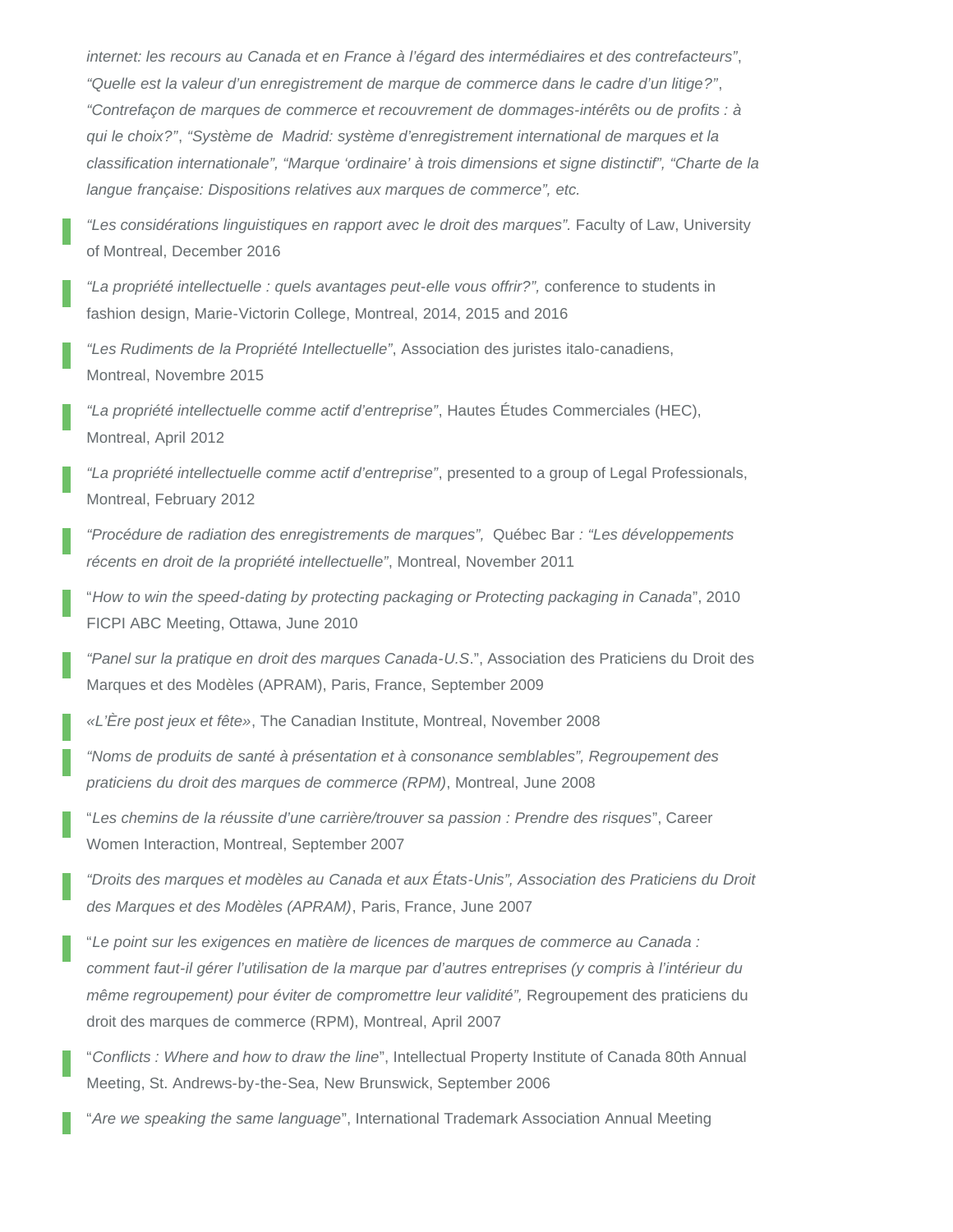*internet: les recours au Canada et en France à l'égard des intermédiaires et des contrefacteurs"*, *"Quelle est la valeur d'un enregistrement de marque de commerce dans le cadre d'un litige?"*, *"Contrefaçon de marques de commerce et recouvrement de dommages-intérêts ou de profits : à qui le choix?"*, *"Système de Madrid: système d'enregistrement international de marques et la classification internationale", "Marque 'ordinaire' à trois dimensions et signe distinctif", "Charte de la langue française: Dispositions relatives aux marques de commerce", etc.*

*"Les considérations linguistiques en rapport avec le droit des marques".* Faculty of Law, University of Montreal, December 2016

*"La propriété intellectuelle : quels avantages peut-elle vous offrir?",* conference to students in fashion design, Marie-Victorin College, Montreal, 2014, 2015 and 2016

*"Les Rudiments de la Propriété Intellectuelle"*, Association des juristes italo-canadiens, Montreal, Novembre 2015

*"La propriété intellectuelle comme actif d'entreprise"*, Hautes Études Commerciales (HEC), Montreal, April 2012

*"La propriété intellectuelle comme actif d'entreprise"*, presented to a group of Legal Professionals, Montreal, February 2012

*"Procédure de radiation des enregistrements de marques",* Québec Bar *: "Les développements récents en droit de la propriété intellectuelle"*, Montreal, November 2011

"*How to win the speed-dating by protecting packaging or Protecting packaging in Canada*", 2010 FICPI ABC Meeting, Ottawa, June 2010

*"Panel sur la pratique en droit des marques Canada-U.S*.", Association des Praticiens du Droit des Marques et des Modèles (APRAM), Paris, France, September 2009

*«L'Ère post jeux et fête»*, The Canadian Institute, Montreal, November 2008

*"Noms de produits de santé à présentation et à consonance semblables", Regroupement des praticiens du droit des marques de commerce (RPM)*, Montreal, June 2008

"*Les chemins de la réussite d'une carrière/trouver sa passion : Prendre des risques*", Career Women Interaction, Montreal, September 2007

*"Droits des marques et modèles au Canada et aux États-Unis", Association des Praticiens du Droit des Marques et des Modèles (APRAM)*, Paris, France, June 2007

"*Le point sur les exigences en matière de licences de marques de commerce au Canada : comment faut-il gérer l'utilisation de la marque par d'autres entreprises (y compris à l'intérieur du même regroupement) pour éviter de compromettre leur validité"*, Regroupement des praticiens du droit des marques de commerce (RPM), Montreal, April 2007

"*Conflicts : Where and how to draw the line*", Intellectual Property Institute of Canada 80th Annual Meeting, St. Andrews-by-the-Sea, New Brunswick, September 2006

"*Are we speaking the same language*", International Trademark Association Annual Meeting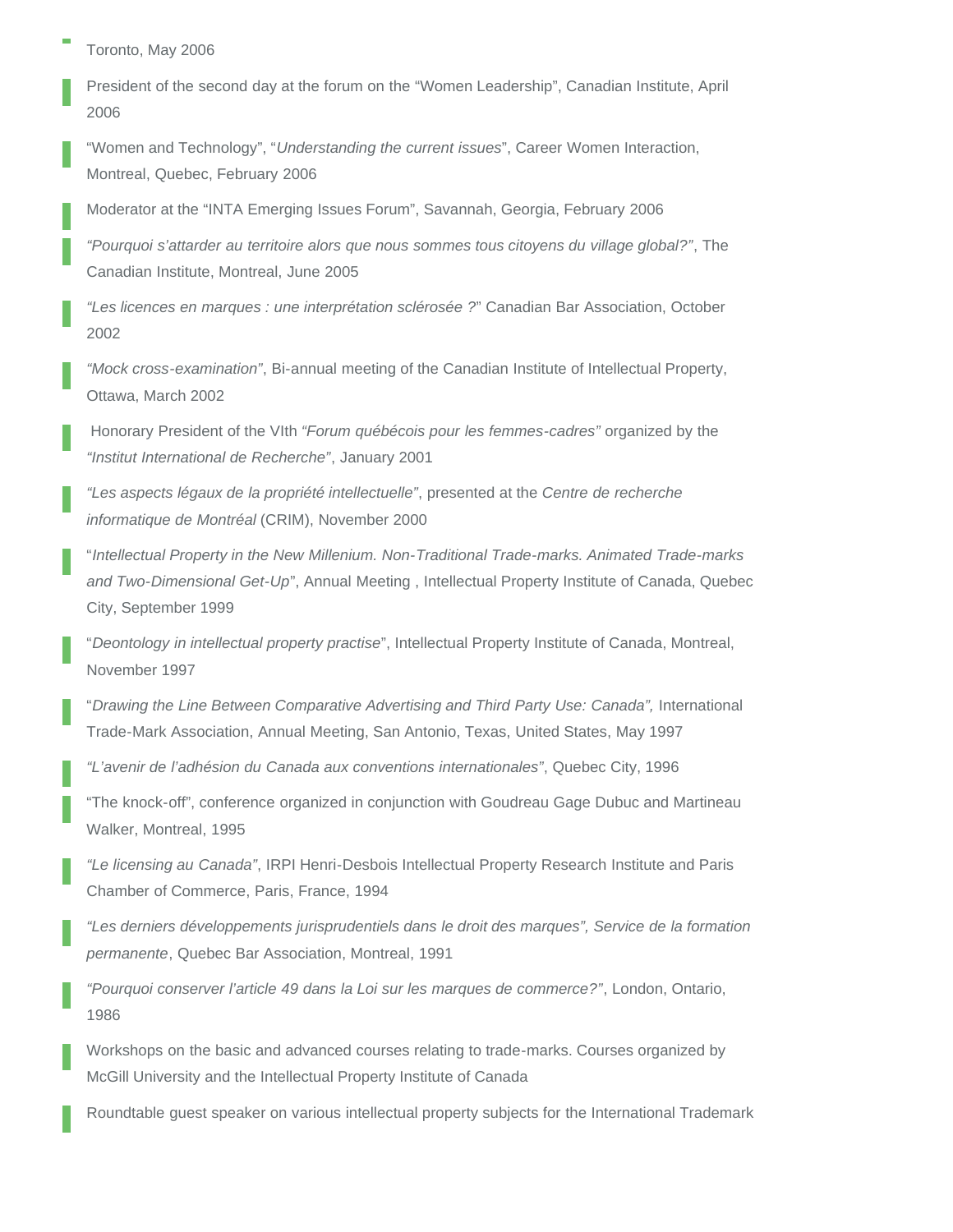Toronto, May 2006

President of the second day at the forum on the "Women Leadership", Canadian Institute, April 2006

"Women and Technology", "*Understanding the current issues*", Career Women Interaction, Montreal, Quebec, February 2006

Moderator at the "INTA Emerging Issues Forum", Savannah, Georgia, February 2006

*"Pourquoi s'attarder au territoire alors que nous sommes tous citoyens du village global?"*, The Canadian Institute, Montreal, June 2005

*"Les licences en marques : une interprétation sclérosée ?*" Canadian Bar Association, October 2002

*"Mock cross-examination"*, Bi-annual meeting of the Canadian Institute of Intellectual Property, Ottawa, March 2002

 Honorary President of the VIth *"Forum québécois pour les femmes-cadres"* organized by the *"Institut International de Recherche"*, January 2001

*"Les aspects légaux de la propriété intellectuelle"*, presented at the *Centre de recherche informatique de Montréal* (CRIM), November 2000

"*Intellectual Property in the New Millenium. Non-Traditional Trade-marks. Animated Trade-marks and Two-Dimensional Get-Up*", Annual Meeting , Intellectual Property Institute of Canada, Quebec City, September 1999

"*Deontology in intellectual property practise*", Intellectual Property Institute of Canada, Montreal, November 1997

"*Drawing the Line Between Comparative Advertising and Third Party Use: Canada",* International Trade-Mark Association, Annual Meeting, San Antonio, Texas, United States, May 1997

*"L'avenir de l'adhésion du Canada aux conventions internationales"*, Quebec City, 1996

"The knock-off", conference organized in conjunction with Goudreau Gage Dubuc and Martineau Walker, Montreal, 1995

*"Le licensing au Canada"*, IRPI Henri-Desbois Intellectual Property Research Institute and Paris Chamber of Commerce, Paris, France, 1994

*"Les derniers développements jurisprudentiels dans le droit des marques", Service de la formation permanente*, Quebec Bar Association, Montreal, 1991

*"Pourquoi conserver l'article 49 dans la Loi sur les marques de commerce?"*, London, Ontario, 1986

Workshops on the basic and advanced courses relating to trade-marks. Courses organized by McGill University and the Intellectual Property Institute of Canada

Roundtable guest speaker on various intellectual property subjects for the International Trademark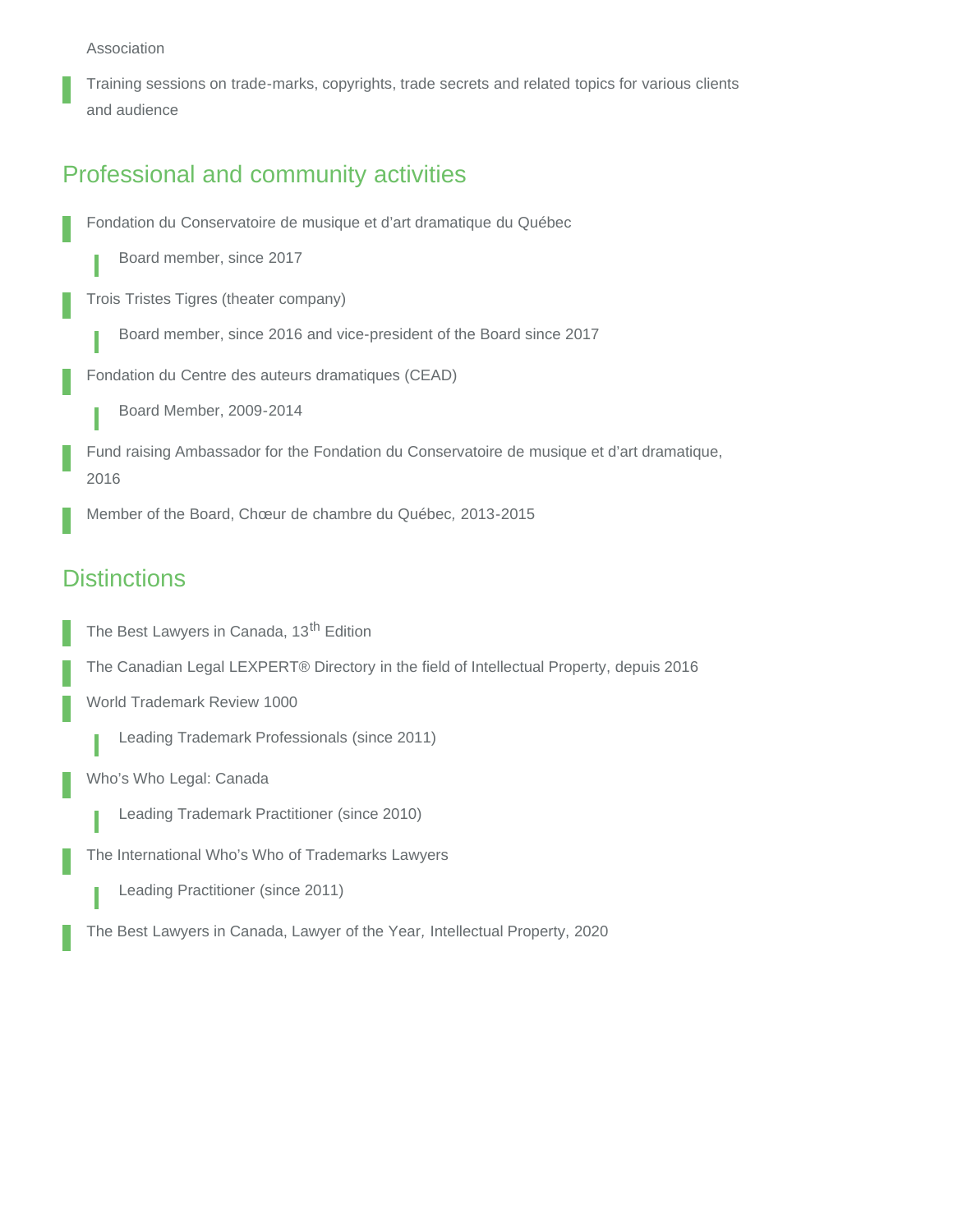#### Association

Training sessions on trade-marks, copyrights, trade secrets and related topics for various clients and audience

## Professional and community activities

Fondation du Conservatoire de musique et d'art dramatique du Québec

Board member, since 2017

Trois Tristes Tigres (theater company)

Board member, since 2016 and vice-president of the Board since 2017

Fondation du Centre des auteurs dramatiques (CEAD)

Board Member, 2009-2014

Fund raising Ambassador for the Fondation du Conservatoire de musique et d'art dramatique, 2016

Member of the Board, Chœur de chambre du Québec*,* 2013-2015

## **Distinctions**

The Best Lawyers in Canada, 13<sup>th</sup> Edition

The Canadian Legal LEXPERT® Directory in the field of Intellectual Property, depuis 2016

World Trademark Review 1000

Leading Trademark Professionals (since 2011)

Who's Who Legal: Canada

Leading Trademark Practitioner (since 2010)

The International Who's Who of Trademarks Lawyers

Leading Practitioner (since 2011)

The Best Lawyers in Canada, Lawyer of the Year*,* Intellectual Property, 2020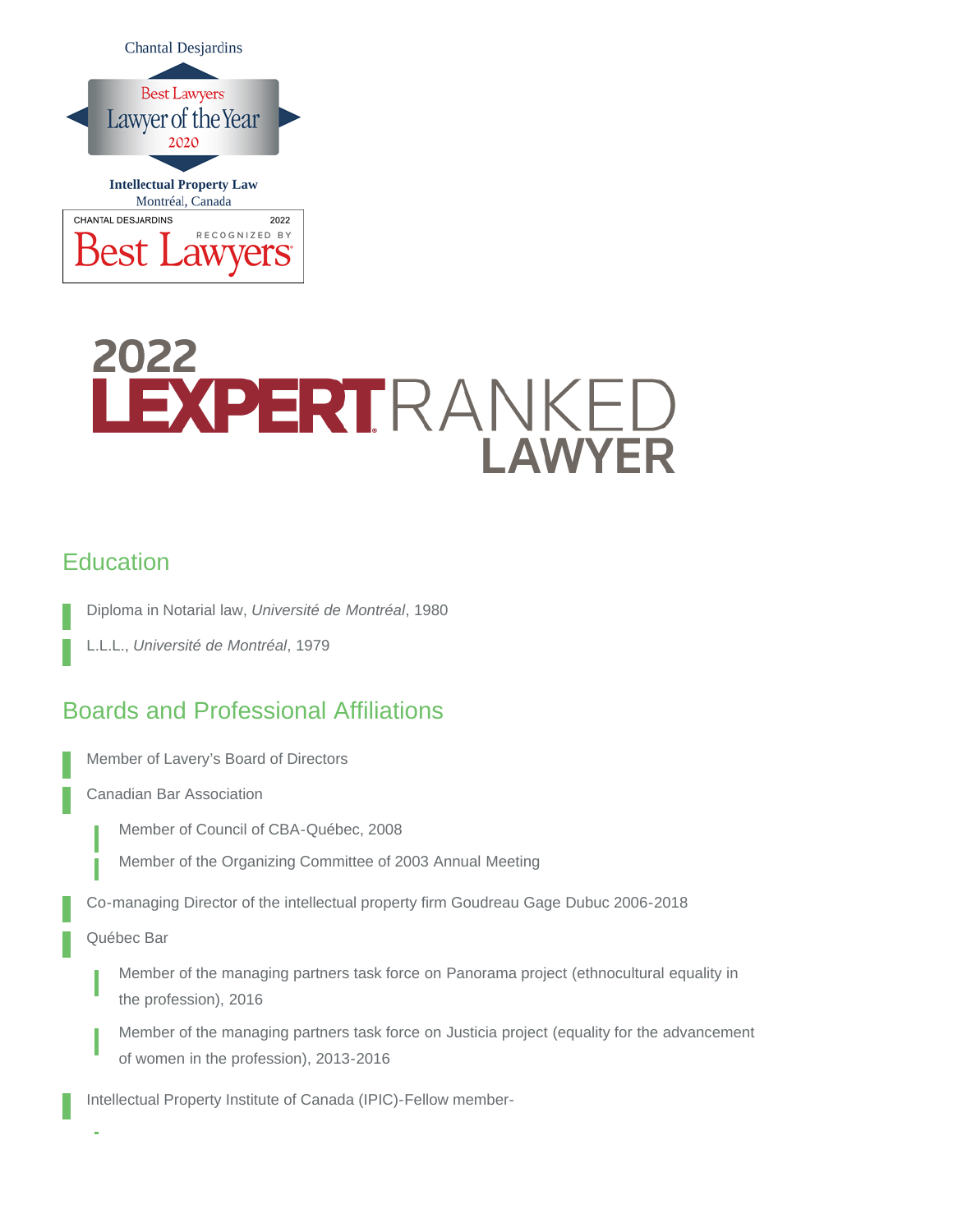

# 2022 LEXPERTRANKED **LAWYER**

## **Education**

Diploma in Notarial law, *Université de Montréal*, 1980

L.L.L., *Université de Montréal*, 1979

## Boards and Professional Affiliations

Member of Lavery's Board of Directors

Canadian Bar Association

Member of Council of CBA-Québec, 2008

Member of the Organizing Committee of 2003 Annual Meeting

Co-managing Director of the intellectual property firm Goudreau Gage Dubuc 2006-2018

Québec Bar

Member of the managing partners task force on Panorama project (ethnocultural equality in the profession), 2016

Member of the managing partners task force on Justicia project (equality for the advancement of women in the profession), 2013-2016

Intellectual Property Institute of Canada (IPIC)-Fellow member-